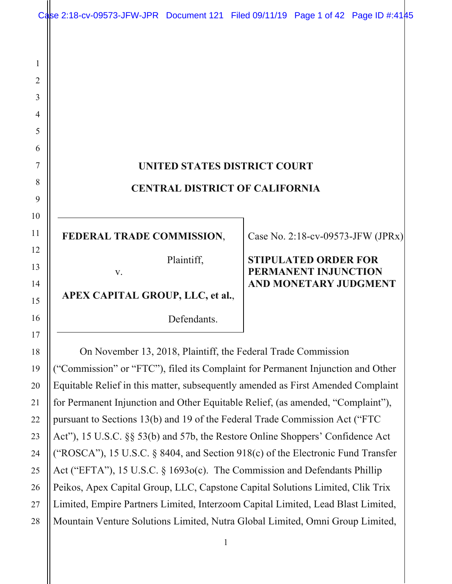|                | Case 2:18-cv-09573-JFW-JPR Document 121 Filed 09/11/19 Page 1 of 42 Page ID #:4145 |             |  |                                                     |                                   |  |  |
|----------------|------------------------------------------------------------------------------------|-------------|--|-----------------------------------------------------|-----------------------------------|--|--|
|                |                                                                                    |             |  |                                                     |                                   |  |  |
| 1              |                                                                                    |             |  |                                                     |                                   |  |  |
| $\overline{2}$ |                                                                                    |             |  |                                                     |                                   |  |  |
| 3              |                                                                                    |             |  |                                                     |                                   |  |  |
| 4              |                                                                                    |             |  |                                                     |                                   |  |  |
| 5              |                                                                                    |             |  |                                                     |                                   |  |  |
| 6              |                                                                                    |             |  |                                                     |                                   |  |  |
| 7              | UNITED STATES DISTRICT COURT<br><b>CENTRAL DISTRICT OF CALIFORNIA</b>              |             |  |                                                     |                                   |  |  |
| 8              |                                                                                    |             |  |                                                     |                                   |  |  |
| 9              |                                                                                    |             |  |                                                     |                                   |  |  |
| 10<br>11       | FEDERAL TRADE COMMISSION,                                                          |             |  |                                                     | Case No. 2:18-cv-09573-JFW (JPRx) |  |  |
| 12<br>13       | V.                                                                                 | Plaintiff,  |  | <b>STIPULATED ORDER FOR</b><br>PERMANENT INJUNCTION |                                   |  |  |
| 14<br>15       | APEX CAPITAL GROUP, LLC, et al.,                                                   |             |  | <b>AND MONETARY JUDGMENT</b>                        |                                   |  |  |
| 16             |                                                                                    | Defendants. |  |                                                     |                                   |  |  |
| 17<br>18       | On November 13, 2018, Plaintiff, the Federal Trade Commission                      |             |  |                                                     |                                   |  |  |
| 19             | "Commission" or "FTC"), filed its Complaint for Permanent Injunction and Other     |             |  |                                                     |                                   |  |  |
| 20             | Equitable Relief in this matter, subsequently amended as First Amended Complaint   |             |  |                                                     |                                   |  |  |
| 21             | for Permanent Injunction and Other Equitable Relief, (as amended, "Complaint"),    |             |  |                                                     |                                   |  |  |

for Permanent Injunction and Other Equitable Relief, (as amended, "Complaint"), pursuant to Sections 13(b) and 19 of the Federal Trade Commission Act ("FTC Act"), 15 U.S.C. §§ 53(b) and 57b, the Restore Online Shoppers' Confidence Act ("ROSCA"), 15 U.S.C. § 8404, and Section 918(c) of the Electronic Fund Transfer Act ("EFTA"), 15 U.S.C. § 1693o(c). The Commission and Defendants Phillip Peikos, Apex Capital Group, LLC, Capstone Capital Solutions Limited, Clik Trix Limited, Empire Partners Limited, Interzoom Capital Limited, Lead Blast Limited, Mountain Venture Solutions Limited, Nutra Global Limited, Omni Group Limited,

22

23

24

25

26

27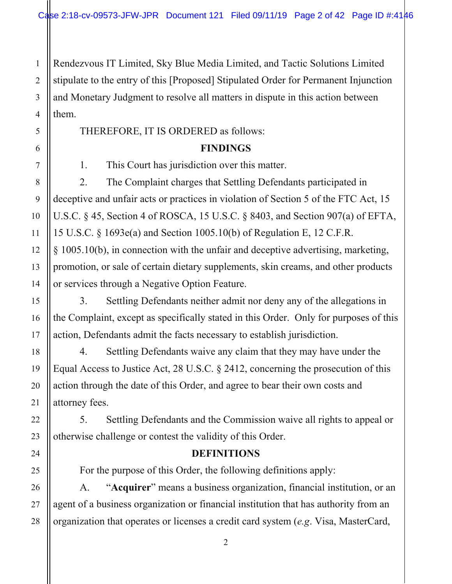Rendezvous IT Limited, Sky Blue Media Limited, and Tactic Solutions Limited stipulate to the entry of this [Proposed] Stipulated Order for Permanent Injunction and Monetary Judgment to resolve all matters in dispute in this action between them.

THEREFORE, IT IS ORDERED as follows:

# **FINDINGS**

1. This Court has jurisdiction over this matter.

2. The Complaint charges that Settling Defendants participated in deceptive and unfair acts or practices in violation of Section 5 of the FTC Act, 15 U.S.C. § 45, Section 4 of ROSCA, 15 U.S.C. § 8403, and Section 907(a) of EFTA, 15 U.S.C. § 1693e(a) and Section 1005.10(b) of Regulation E, 12 C.F.R. § 1005.10(b), in connection with the unfair and deceptive advertising, marketing, promotion, or sale of certain dietary supplements, skin creams, and other products or services through a Negative Option Feature.

3. Settling Defendants neither admit nor deny any of the allegations in the Complaint, except as specifically stated in this Order. Only for purposes of this action, Defendants admit the facts necessary to establish jurisdiction.

4. Settling Defendants waive any claim that they may have under the Equal Access to Justice Act, 28 U.S.C. § 2412, concerning the prosecution of this action through the date of this Order, and agree to bear their own costs and attorney fees.

5. Settling Defendants and the Commission waive all rights to appeal or otherwise challenge or contest the validity of this Order.

# **DEFINITIONS**

For the purpose of this Order, the following definitions apply:

A. "**Acquirer**" means a business organization, financial institution, or an agent of a business organization or financial institution that has authority from an organization that operates or licenses a credit card system (*e.g*. Visa, MasterCard,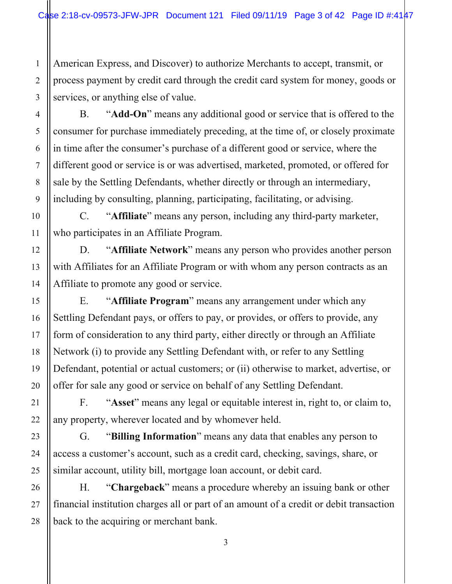American Express, and Discover) to authorize Merchants to accept, transmit, or process payment by credit card through the credit card system for money, goods or services, or anything else of value.

B. "**Add-On**" means any additional good or service that is offered to the consumer for purchase immediately preceding, at the time of, or closely proximate in time after the consumer's purchase of a different good or service, where the different good or service is or was advertised, marketed, promoted, or offered for sale by the Settling Defendants, whether directly or through an intermediary, including by consulting, planning, participating, facilitating, or advising.

C. "**Affiliate**" means any person, including any third-party marketer, who participates in an Affiliate Program.

D. "**Affiliate Network**" means any person who provides another person with Affiliates for an Affiliate Program or with whom any person contracts as an Affiliate to promote any good or service.

E. "**Affiliate Program**" means any arrangement under which any Settling Defendant pays, or offers to pay, or provides, or offers to provide, any form of consideration to any third party, either directly or through an Affiliate Network (i) to provide any Settling Defendant with, or refer to any Settling Defendant, potential or actual customers; or (ii) otherwise to market, advertise, or offer for sale any good or service on behalf of any Settling Defendant.

F. "**Asset**" means any legal or equitable interest in, right to, or claim to, any property, wherever located and by whomever held.

G. "**Billing Information**" means any data that enables any person to access a customer's account, such as a credit card, checking, savings, share, or similar account, utility bill, mortgage loan account, or debit card.

H. "**Chargeback**" means a procedure whereby an issuing bank or other financial institution charges all or part of an amount of a credit or debit transaction back to the acquiring or merchant bank.

1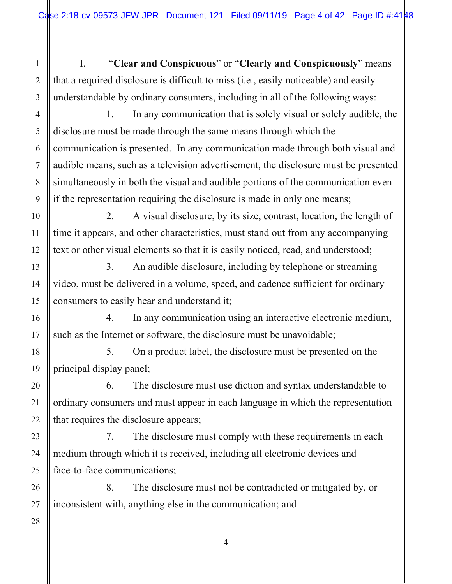I. "**Clear and Conspicuous**" or "**Clearly and Conspicuously**" means that a required disclosure is difficult to miss (i.e., easily noticeable) and easily understandable by ordinary consumers, including in all of the following ways:

 1. In any communication that is solely visual or solely audible, the disclosure must be made through the same means through which the communication is presented. In any communication made through both visual and audible means, such as a television advertisement, the disclosure must be presented simultaneously in both the visual and audible portions of the communication even if the representation requiring the disclosure is made in only one means;

 2. A visual disclosure, by its size, contrast, location, the length of time it appears, and other characteristics, must stand out from any accompanying text or other visual elements so that it is easily noticed, read, and understood;

 3. An audible disclosure, including by telephone or streaming video, must be delivered in a volume, speed, and cadence sufficient for ordinary consumers to easily hear and understand it;

 4. In any communication using an interactive electronic medium, such as the Internet or software, the disclosure must be unavoidable;

 5. On a product label, the disclosure must be presented on the principal display panel;

 6. The disclosure must use diction and syntax understandable to ordinary consumers and must appear in each language in which the representation that requires the disclosure appears;

 7. The disclosure must comply with these requirements in each medium through which it is received, including all electronic devices and face-to-face communications;

 8. The disclosure must not be contradicted or mitigated by, or inconsistent with, anything else in the communication; and

1

2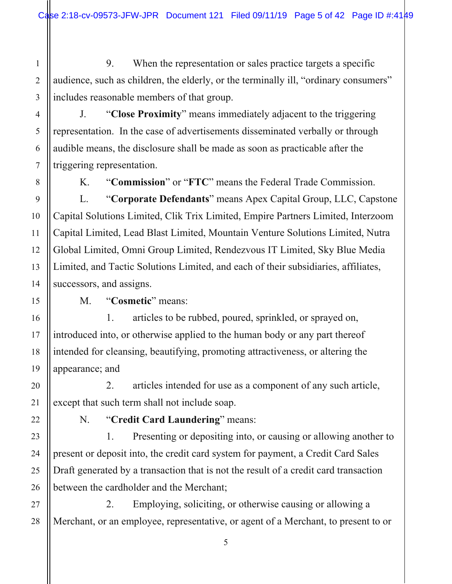9. When the representation or sales practice targets a specific audience, such as children, the elderly, or the terminally ill, "ordinary consumers" includes reasonable members of that group.

J. "**Close Proximity**" means immediately adjacent to the triggering representation. In the case of advertisements disseminated verbally or through audible means, the disclosure shall be made as soon as practicable after the triggering representation.

1

2

3

4

5

6

7

8

9

10

11

12

13

14

15

16

17

18

19

20

21

22

23

24

25

26

27

K. "**Commission**" or "**FTC**" means the Federal Trade Commission.

L. "**Corporate Defendants**" means Apex Capital Group, LLC, Capstone Capital Solutions Limited, Clik Trix Limited, Empire Partners Limited, Interzoom Capital Limited, Lead Blast Limited, Mountain Venture Solutions Limited, Nutra Global Limited, Omni Group Limited, Rendezvous IT Limited, Sky Blue Media Limited, and Tactic Solutions Limited, and each of their subsidiaries, affiliates, successors, and assigns.

M. "**Cosmetic**" means:

 1. articles to be rubbed, poured, sprinkled, or sprayed on, introduced into, or otherwise applied to the human body or any part thereof intended for cleansing, beautifying, promoting attractiveness, or altering the appearance; and

 2. articles intended for use as a component of any such article, except that such term shall not include soap.

N. "**Credit Card Laundering**" means:

1. Presenting or depositing into, or causing or allowing another to present or deposit into, the credit card system for payment, a Credit Card Sales Draft generated by a transaction that is not the result of a credit card transaction between the cardholder and the Merchant;

28 2. Employing, soliciting, or otherwise causing or allowing a Merchant, or an employee, representative, or agent of a Merchant, to present to or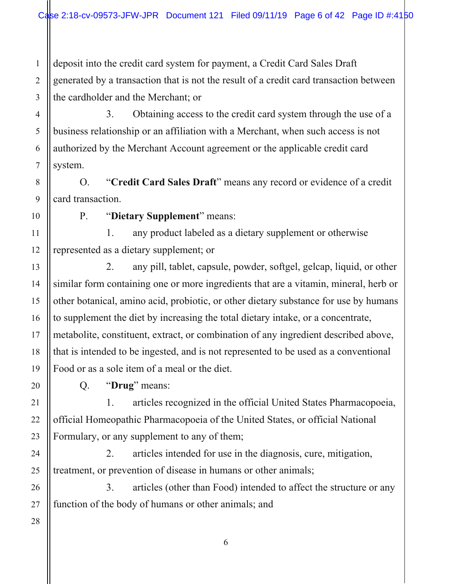1 2 3 deposit into the credit card system for payment, a Credit Card Sales Draft generated by a transaction that is not the result of a credit card transaction between the cardholder and the Merchant; or

3. Obtaining access to the credit card system through the use of a business relationship or an affiliation with a Merchant, when such access is not authorized by the Merchant Account agreement or the applicable credit card system.

O. "**Credit Card Sales Draft**" means any record or evidence of a credit card transaction.

4

5

6

7

8

9

10

11

12

13

14

15

16

17

18

19

20

21

22

23

24

25

26

P. "**Dietary Supplement**" means:

 1. any product labeled as a dietary supplement or otherwise represented as a dietary supplement; or

 2. any pill, tablet, capsule, powder, softgel, gelcap, liquid, or other similar form containing one or more ingredients that are a vitamin, mineral, herb or other botanical, amino acid, probiotic, or other dietary substance for use by humans to supplement the diet by increasing the total dietary intake, or a concentrate, metabolite, constituent, extract, or combination of any ingredient described above, that is intended to be ingested, and is not represented to be used as a conventional Food or as a sole item of a meal or the diet.

Q. "**Drug**" means:

 1. articles recognized in the official United States Pharmacopoeia, official Homeopathic Pharmacopoeia of the United States, or official National Formulary, or any supplement to any of them;

 2. articles intended for use in the diagnosis, cure, mitigation, treatment, or prevention of disease in humans or other animals;

 3. articles (other than Food) intended to affect the structure or any function of the body of humans or other animals; and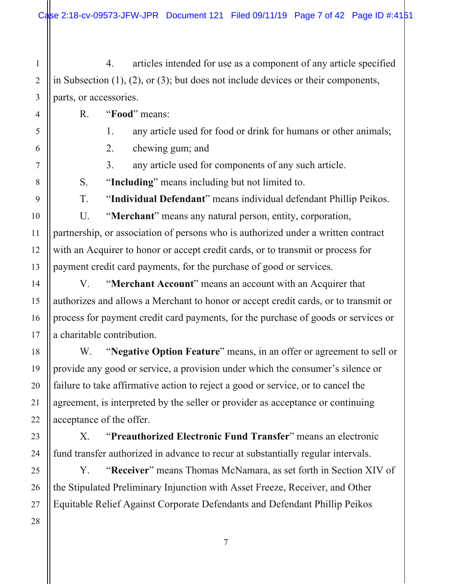1 2 4. articles intended for use as a component of any article specified in Subsection (1), (2), or (3); but does not include devices or their components, parts, or accessories.

R. "**Food**" means:

1. any article used for food or drink for humans or other animals;

2. chewing gum; and

3. any article used for components of any such article.

S. "**Including**" means including but not limited to.

T. "**Individual Defendant**" means individual defendant Phillip Peikos.

U. "**Merchant**" means any natural person, entity, corporation, partnership, or association of persons who is authorized under a written contract with an Acquirer to honor or accept credit cards, or to transmit or process for payment credit card payments, for the purchase of good or services.

V. "**Merchant Account**" means an account with an Acquirer that authorizes and allows a Merchant to honor or accept credit cards, or to transmit or process for payment credit card payments, for the purchase of goods or services or a charitable contribution.

W. "**Negative Option Feature**" means, in an offer or agreement to sell or provide any good or service, a provision under which the consumer's silence or failure to take affirmative action to reject a good or service, or to cancel the agreement, is interpreted by the seller or provider as acceptance or continuing acceptance of the offer.

X. "**Preauthorized Electronic Fund Transfer**" means an electronic fund transfer authorized in advance to recur at substantially regular intervals.

Y. "**Receiver**" means Thomas McNamara, as set forth in Section XIV of the Stipulated Preliminary Injunction with Asset Freeze, Receiver, and Other Equitable Relief Against Corporate Defendants and Defendant Phillip Peikos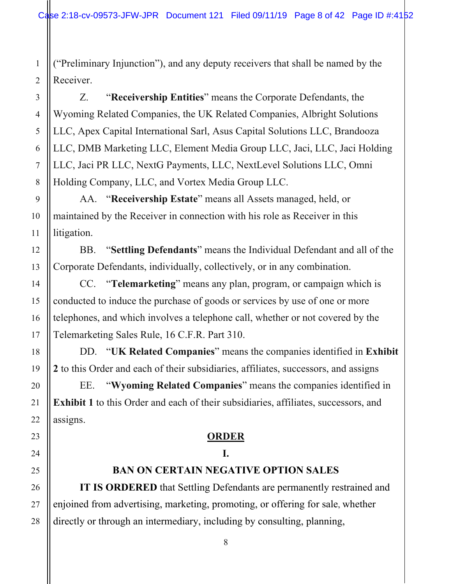("Preliminary Injunction"), and any deputy receivers that shall be named by the Receiver.

Z. "**Receivership Entities**" means the Corporate Defendants, the Wyoming Related Companies, the UK Related Companies, Albright Solutions LLC, Apex Capital International Sarl, Asus Capital Solutions LLC, Brandooza LLC, DMB Marketing LLC, Element Media Group LLC, Jaci, LLC, Jaci Holding LLC, Jaci PR LLC, NextG Payments, LLC, NextLevel Solutions LLC, Omni Holding Company, LLC, and Vortex Media Group LLC.

AA. "**Receivership Estate**" means all Assets managed, held, or maintained by the Receiver in connection with his role as Receiver in this litigation.

BB. "**Settling Defendants**" means the Individual Defendant and all of the Corporate Defendants, individually, collectively, or in any combination.

CC. "**Telemarketing**" means any plan, program, or campaign which is conducted to induce the purchase of goods or services by use of one or more telephones, and which involves a telephone call, whether or not covered by the Telemarketing Sales Rule, 16 C.F.R. Part 310.

DD. "**UK Related Companies**" means the companies identified in **Exhibit 2** to this Order and each of their subsidiaries, affiliates, successors, and assigns

EE. "**Wyoming Related Companies**" means the companies identified in **Exhibit 1** to this Order and each of their subsidiaries, affiliates, successors, and assigns.

## **ORDER**

# **I.**

## **BAN ON CERTAIN NEGATIVE OPTION SALES**

**IT IS ORDERED** that Settling Defendants are permanently restrained and enjoined from advertising, marketing, promoting, or offering for sale, whether directly or through an intermediary, including by consulting, planning,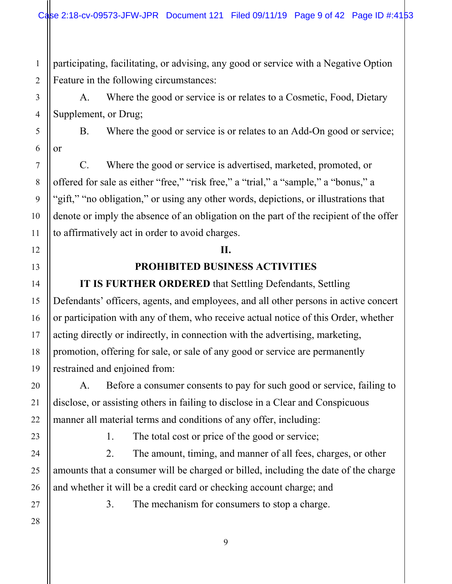participating, facilitating, or advising, any good or service with a Negative Option Feature in the following circumstances:

 A. Where the good or service is or relates to a Cosmetic, Food, Dietary Supplement, or Drug;

 B. Where the good or service is or relates to an Add-On good or service; or

 C. Where the good or service is advertised, marketed, promoted, or offered for sale as either "free," "risk free," a "trial," a "sample," a "bonus," a "gift," "no obligation," or using any other words, depictions, or illustrations that denote or imply the absence of an obligation on the part of the recipient of the offer to affirmatively act in order to avoid charges.

## **II.**

## **PROHIBITED BUSINESS ACTIVITIES**

**IT IS FURTHER ORDERED** that Settling Defendants, Settling Defendants' officers, agents, and employees, and all other persons in active concert or participation with any of them, who receive actual notice of this Order, whether acting directly or indirectly, in connection with the advertising, marketing, promotion, offering for sale, or sale of any good or service are permanently restrained and enjoined from:

 A. Before a consumer consents to pay for such good or service, failing to disclose, or assisting others in failing to disclose in a Clear and Conspicuous manner all material terms and conditions of any offer, including:

1. The total cost or price of the good or service;

 2. The amount, timing, and manner of all fees, charges, or other amounts that a consumer will be charged or billed, including the date of the charge and whether it will be a credit card or checking account charge; and

3. The mechanism for consumers to stop a charge.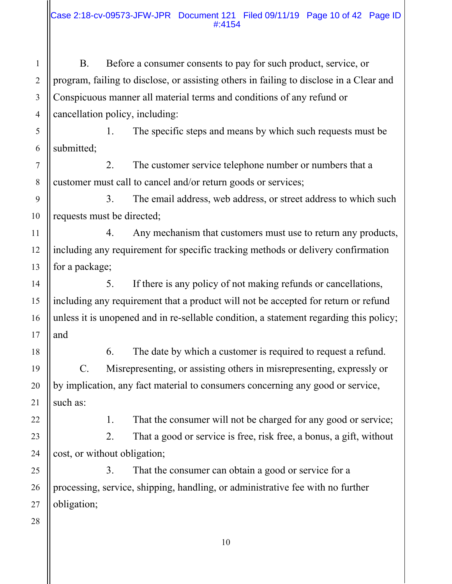B. Before a consumer consents to pay for such product, service, or program, failing to disclose, or assisting others in failing to disclose in a Clear and Conspicuous manner all material terms and conditions of any refund or cancellation policy, including:

 1. The specific steps and means by which such requests must be submitted;

 2. The customer service telephone number or numbers that a customer must call to cancel and/or return goods or services;

 3. The email address, web address, or street address to which such requests must be directed;

 4. Any mechanism that customers must use to return any products, including any requirement for specific tracking methods or delivery confirmation for a package;

 5. If there is any policy of not making refunds or cancellations, including any requirement that a product will not be accepted for return or refund unless it is unopened and in re-sellable condition, a statement regarding this policy; and

 6. The date by which a customer is required to request a refund. C. Misrepresenting, or assisting others in misrepresenting, expressly or by implication, any fact material to consumers concerning any good or service,

such as:

1

2

3

4

5

6

7

8

9

10

11

12

13

14

15

16

17

18

19

20

21

22

23

24

25

26

1. That the consumer will not be charged for any good or service;

 2. That a good or service is free, risk free, a bonus, a gift, without cost, or without obligation;

 3. That the consumer can obtain a good or service for a processing, service, shipping, handling, or administrative fee with no further obligation;

27 28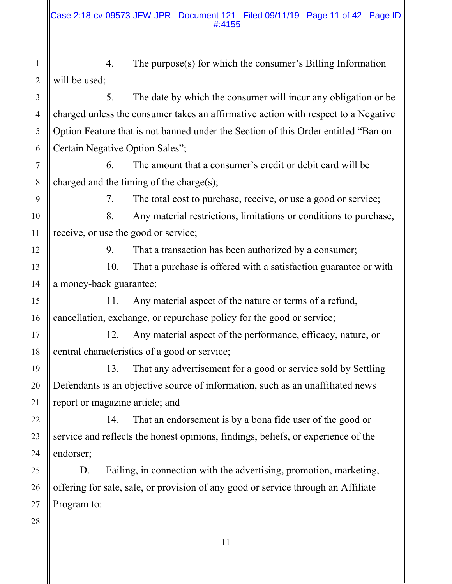1 2 4. The purpose(s) for which the consumer's Billing Information will be used;

 5. The date by which the consumer will incur any obligation or be charged unless the consumer takes an affirmative action with respect to a Negative Option Feature that is not banned under the Section of this Order entitled "Ban on Certain Negative Option Sales";

 6. The amount that a consumer's credit or debit card will be charged and the timing of the charge(s);

3

4

5

6

7

8

9

10

11

12

13

14

15

16

17

18

19

20

21

22

23

24

25

26

7. The total cost to purchase, receive, or use a good or service;

 8. Any material restrictions, limitations or conditions to purchase, receive, or use the good or service;

9. That a transaction has been authorized by a consumer;

 10. That a purchase is offered with a satisfaction guarantee or with a money-back guarantee;

 11. Any material aspect of the nature or terms of a refund, cancellation, exchange, or repurchase policy for the good or service;

 12. Any material aspect of the performance, efficacy, nature, or central characteristics of a good or service;

 13. That any advertisement for a good or service sold by Settling Defendants is an objective source of information, such as an unaffiliated news report or magazine article; and

 14. That an endorsement is by a bona fide user of the good or service and reflects the honest opinions, findings, beliefs, or experience of the endorser;

D. Failing, in connection with the advertising, promotion, marketing, offering for sale, sale, or provision of any good or service through an Affiliate Program to: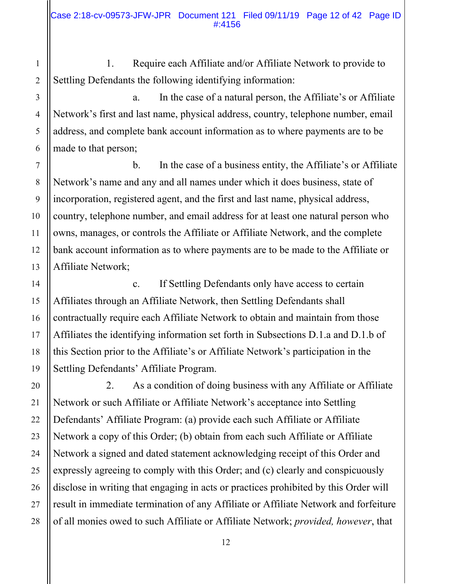1. Require each Affiliate and/or Affiliate Network to provide to Settling Defendants the following identifying information:

 a. In the case of a natural person, the Affiliate's or Affiliate Network's first and last name, physical address, country, telephone number, email address, and complete bank account information as to where payments are to be made to that person;

 b. In the case of a business entity, the Affiliate's or Affiliate Network's name and any and all names under which it does business, state of incorporation, registered agent, and the first and last name, physical address, country, telephone number, and email address for at least one natural person who owns, manages, or controls the Affiliate or Affiliate Network, and the complete bank account information as to where payments are to be made to the Affiliate or Affiliate Network;

 c. If Settling Defendants only have access to certain Affiliates through an Affiliate Network, then Settling Defendants shall contractually require each Affiliate Network to obtain and maintain from those Affiliates the identifying information set forth in Subsections D.1.a and D.1.b of this Section prior to the Affiliate's or Affiliate Network's participation in the Settling Defendants' Affiliate Program.

 2. As a condition of doing business with any Affiliate or Affiliate Network or such Affiliate or Affiliate Network's acceptance into Settling Defendants' Affiliate Program: (a) provide each such Affiliate or Affiliate Network a copy of this Order; (b) obtain from each such Affiliate or Affiliate Network a signed and dated statement acknowledging receipt of this Order and expressly agreeing to comply with this Order; and (c) clearly and conspicuously disclose in writing that engaging in acts or practices prohibited by this Order will result in immediate termination of any Affiliate or Affiliate Network and forfeiture of all monies owed to such Affiliate or Affiliate Network; *provided, however*, that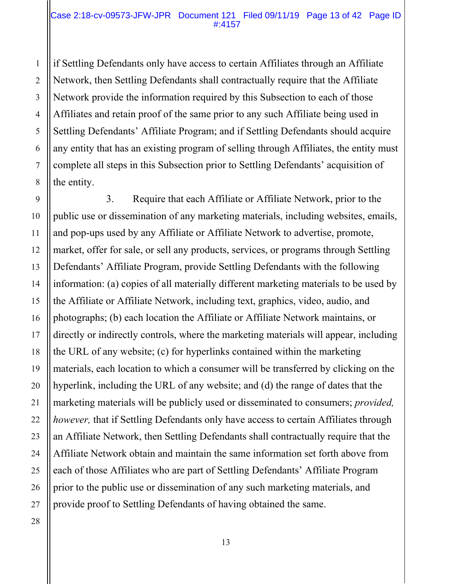#### Case 2:18-cv-09573-JFW-JPR Document 121 Filed 09/11/19 Page 13 of 42 Page ID #:4157

if Settling Defendants only have access to certain Affiliates through an Affiliate Network, then Settling Defendants shall contractually require that the Affiliate Network provide the information required by this Subsection to each of those Affiliates and retain proof of the same prior to any such Affiliate being used in Settling Defendants' Affiliate Program; and if Settling Defendants should acquire any entity that has an existing program of selling through Affiliates, the entity must complete all steps in this Subsection prior to Settling Defendants' acquisition of the entity.

 3. Require that each Affiliate or Affiliate Network, prior to the public use or dissemination of any marketing materials, including websites, emails, and pop-ups used by any Affiliate or Affiliate Network to advertise, promote, market, offer for sale, or sell any products, services, or programs through Settling Defendants' Affiliate Program, provide Settling Defendants with the following information: (a) copies of all materially different marketing materials to be used by the Affiliate or Affiliate Network, including text, graphics, video, audio, and photographs; (b) each location the Affiliate or Affiliate Network maintains, or directly or indirectly controls, where the marketing materials will appear, including the URL of any website; (c) for hyperlinks contained within the marketing materials, each location to which a consumer will be transferred by clicking on the hyperlink, including the URL of any website; and (d) the range of dates that the marketing materials will be publicly used or disseminated to consumers; *provided, however,* that if Settling Defendants only have access to certain Affiliates through an Affiliate Network, then Settling Defendants shall contractually require that the Affiliate Network obtain and maintain the same information set forth above from each of those Affiliates who are part of Settling Defendants' Affiliate Program prior to the public use or dissemination of any such marketing materials, and provide proof to Settling Defendants of having obtained the same.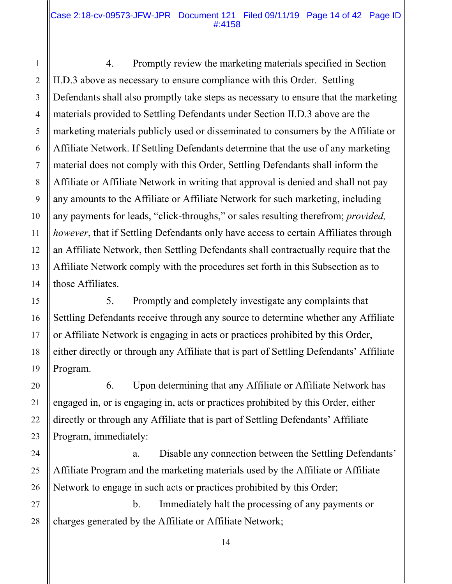1

2

3

4

5

6

7

8

9

10

11

12

13

14

15

16

17

18

19

20

21

22

23

24

25

26

 4. Promptly review the marketing materials specified in Section II.D.3 above as necessary to ensure compliance with this Order. Settling Defendants shall also promptly take steps as necessary to ensure that the marketing materials provided to Settling Defendants under Section II.D.3 above are the marketing materials publicly used or disseminated to consumers by the Affiliate or Affiliate Network. If Settling Defendants determine that the use of any marketing material does not comply with this Order, Settling Defendants shall inform the Affiliate or Affiliate Network in writing that approval is denied and shall not pay any amounts to the Affiliate or Affiliate Network for such marketing, including any payments for leads, "click-throughs," or sales resulting therefrom; *provided, however*, that if Settling Defendants only have access to certain Affiliates through an Affiliate Network, then Settling Defendants shall contractually require that the Affiliate Network comply with the procedures set forth in this Subsection as to those Affiliates.

 5. Promptly and completely investigate any complaints that Settling Defendants receive through any source to determine whether any Affiliate or Affiliate Network is engaging in acts or practices prohibited by this Order, either directly or through any Affiliate that is part of Settling Defendants' Affiliate Program.

 6. Upon determining that any Affiliate or Affiliate Network has engaged in, or is engaging in, acts or practices prohibited by this Order, either directly or through any Affiliate that is part of Settling Defendants' Affiliate Program, immediately:

 a. Disable any connection between the Settling Defendants' Affiliate Program and the marketing materials used by the Affiliate or Affiliate Network to engage in such acts or practices prohibited by this Order;

27 28 b. Immediately halt the processing of any payments or charges generated by the Affiliate or Affiliate Network;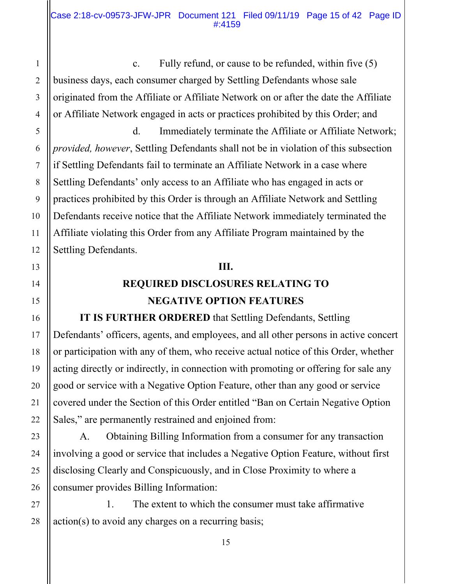c. Fully refund, or cause to be refunded, within five (5) business days, each consumer charged by Settling Defendants whose sale originated from the Affiliate or Affiliate Network on or after the date the Affiliate or Affiliate Network engaged in acts or practices prohibited by this Order; and

 d. Immediately terminate the Affiliate or Affiliate Network; *provided, however*, Settling Defendants shall not be in violation of this subsection if Settling Defendants fail to terminate an Affiliate Network in a case where Settling Defendants' only access to an Affiliate who has engaged in acts or practices prohibited by this Order is through an Affiliate Network and Settling Defendants receive notice that the Affiliate Network immediately terminated the Affiliate violating this Order from any Affiliate Program maintained by the Settling Defendants.

## **III.**

# **REQUIRED DISCLOSURES RELATING TO NEGATIVE OPTION FEATURES**

**IT IS FURTHER ORDERED** that Settling Defendants, Settling Defendants' officers, agents, and employees, and all other persons in active concert or participation with any of them, who receive actual notice of this Order, whether acting directly or indirectly, in connection with promoting or offering for sale any good or service with a Negative Option Feature, other than any good or service covered under the Section of this Order entitled "Ban on Certain Negative Option Sales," are permanently restrained and enjoined from:

 A. Obtaining Billing Information from a consumer for any transaction involving a good or service that includes a Negative Option Feature, without first disclosing Clearly and Conspicuously, and in Close Proximity to where a consumer provides Billing Information:

 1. The extent to which the consumer must take affirmative action(s) to avoid any charges on a recurring basis;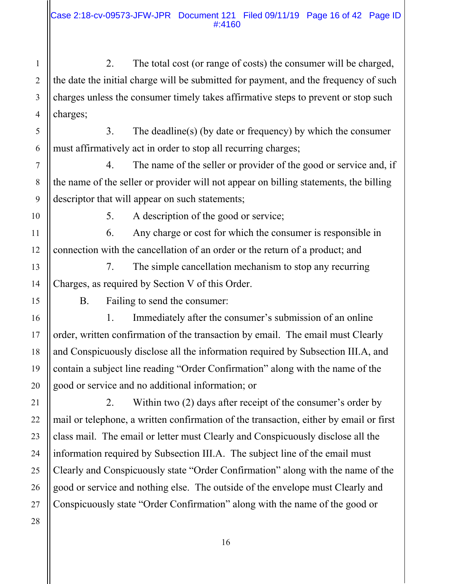2. The total cost (or range of costs) the consumer will be charged, the date the initial charge will be submitted for payment, and the frequency of such charges unless the consumer timely takes affirmative steps to prevent or stop such charges;

 3. The deadline(s) (by date or frequency) by which the consumer must affirmatively act in order to stop all recurring charges;

 4. The name of the seller or provider of the good or service and, if the name of the seller or provider will not appear on billing statements, the billing descriptor that will appear on such statements;

1

2

3

4

5

6

7

8

9

10

11

12

13

14

15

16

17

18

19

20

21

22

23

5. A description of the good or service;

 6. Any charge or cost for which the consumer is responsible in connection with the cancellation of an order or the return of a product; and

 7. The simple cancellation mechanism to stop any recurring Charges, as required by Section V of this Order.

B. Failing to send the consumer:

 1. Immediately after the consumer's submission of an online order, written confirmation of the transaction by email. The email must Clearly and Conspicuously disclose all the information required by Subsection III.A, and contain a subject line reading "Order Confirmation" along with the name of the good or service and no additional information; or

 2. Within two (2) days after receipt of the consumer's order by mail or telephone, a written confirmation of the transaction, either by email or first class mail. The email or letter must Clearly and Conspicuously disclose all the information required by Subsection III.A. The subject line of the email must Clearly and Conspicuously state "Order Confirmation" along with the name of the good or service and nothing else. The outside of the envelope must Clearly and Conspicuously state "Order Confirmation" along with the name of the good or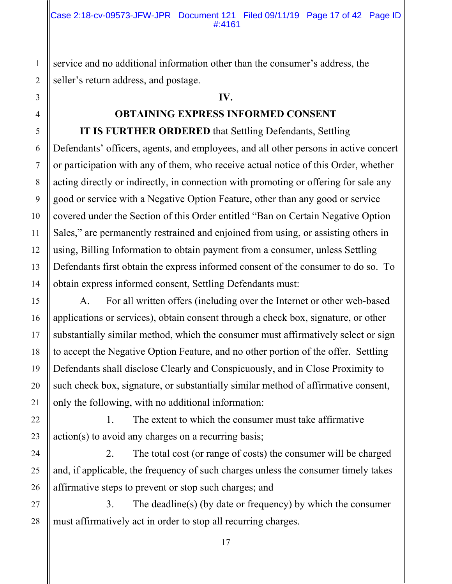service and no additional information other than the consumer's address, the seller's return address, and postage.

### **IV.**

## **OBTAINING EXPRESS INFORMED CONSENT**

**IT IS FURTHER ORDERED** that Settling Defendants, Settling Defendants' officers, agents, and employees, and all other persons in active concert or participation with any of them, who receive actual notice of this Order, whether acting directly or indirectly, in connection with promoting or offering for sale any good or service with a Negative Option Feature, other than any good or service covered under the Section of this Order entitled "Ban on Certain Negative Option Sales," are permanently restrained and enjoined from using, or assisting others in using, Billing Information to obtain payment from a consumer, unless Settling Defendants first obtain the express informed consent of the consumer to do so. To obtain express informed consent, Settling Defendants must:

 A. For all written offers (including over the Internet or other web-based applications or services), obtain consent through a check box, signature, or other substantially similar method, which the consumer must affirmatively select or sign to accept the Negative Option Feature, and no other portion of the offer. Settling Defendants shall disclose Clearly and Conspicuously, and in Close Proximity to such check box, signature, or substantially similar method of affirmative consent, only the following, with no additional information:

 1. The extent to which the consumer must take affirmative action(s) to avoid any charges on a recurring basis;

 2. The total cost (or range of costs) the consumer will be charged and, if applicable, the frequency of such charges unless the consumer timely takes affirmative steps to prevent or stop such charges; and

27 28 3. The deadline(s) (by date or frequency) by which the consumer must affirmatively act in order to stop all recurring charges.

1

2

3

4

5

6

7

8

9

10

11

12

13

14

15

16

17

18

19

20

21

22

23

24

25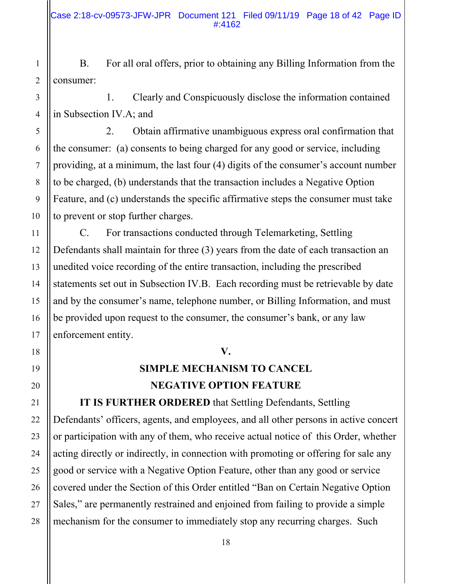B. For all oral offers, prior to obtaining any Billing Information from the consumer:

 1. Clearly and Conspicuously disclose the information contained in Subsection IV.A; and

 2. Obtain affirmative unambiguous express oral confirmation that the consumer: (a) consents to being charged for any good or service, including providing, at a minimum, the last four (4) digits of the consumer's account number to be charged, (b) understands that the transaction includes a Negative Option Feature, and (c) understands the specific affirmative steps the consumer must take to prevent or stop further charges.

 C. For transactions conducted through Telemarketing, Settling Defendants shall maintain for three (3) years from the date of each transaction an unedited voice recording of the entire transaction, including the prescribed statements set out in Subsection IV.B. Each recording must be retrievable by date and by the consumer's name, telephone number, or Billing Information, and must be provided upon request to the consumer, the consumer's bank, or any law enforcement entity.

## **V.**

# **SIMPLE MECHANISM TO CANCEL NEGATIVE OPTION FEATURE**

**IT IS FURTHER ORDERED** that Settling Defendants, Settling Defendants' officers, agents, and employees, and all other persons in active concert or participation with any of them, who receive actual notice of this Order, whether acting directly or indirectly, in connection with promoting or offering for sale any good or service with a Negative Option Feature, other than any good or service covered under the Section of this Order entitled "Ban on Certain Negative Option Sales," are permanently restrained and enjoined from failing to provide a simple mechanism for the consumer to immediately stop any recurring charges. Such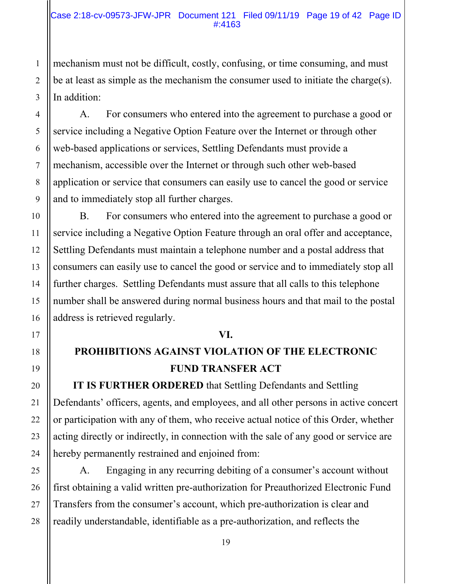mechanism must not be difficult, costly, confusing, or time consuming, and must be at least as simple as the mechanism the consumer used to initiate the charge(s). In addition:

 A. For consumers who entered into the agreement to purchase a good or service including a Negative Option Feature over the Internet or through other web-based applications or services, Settling Defendants must provide a mechanism, accessible over the Internet or through such other web-based application or service that consumers can easily use to cancel the good or service and to immediately stop all further charges.

 B. For consumers who entered into the agreement to purchase a good or service including a Negative Option Feature through an oral offer and acceptance, Settling Defendants must maintain a telephone number and a postal address that consumers can easily use to cancel the good or service and to immediately stop all further charges. Settling Defendants must assure that all calls to this telephone number shall be answered during normal business hours and that mail to the postal address is retrieved regularly.

## **VI.**

# **PROHIBITIONS AGAINST VIOLATION OF THE ELECTRONIC FUND TRANSFER ACT**

**IT IS FURTHER ORDERED** that Settling Defendants and Settling Defendants' officers, agents, and employees, and all other persons in active concert or participation with any of them, who receive actual notice of this Order, whether acting directly or indirectly, in connection with the sale of any good or service are hereby permanently restrained and enjoined from:

A. Engaging in any recurring debiting of a consumer's account without first obtaining a valid written pre-authorization for Preauthorized Electronic Fund Transfers from the consumer's account, which pre-authorization is clear and readily understandable, identifiable as a pre-authorization, and reflects the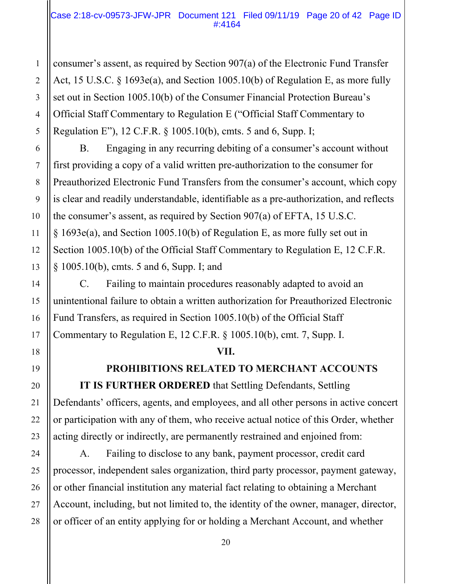### Case 2:18-cv-09573-JFW-JPR Document 121 Filed 09/11/19 Page 20 of 42 Page ID #:4164

consumer's assent, as required by Section 907(a) of the Electronic Fund Transfer Act, 15 U.S.C. § 1693e(a), and Section 1005.10(b) of Regulation E, as more fully set out in Section 1005.10(b) of the Consumer Financial Protection Bureau's Official Staff Commentary to Regulation E ("Official Staff Commentary to Regulation E"), 12 C.F.R. § 1005.10(b), cmts. 5 and 6, Supp. I;

 B. Engaging in any recurring debiting of a consumer's account without first providing a copy of a valid written pre-authorization to the consumer for Preauthorized Electronic Fund Transfers from the consumer's account, which copy is clear and readily understandable, identifiable as a pre-authorization, and reflects the consumer's assent, as required by Section 907(a) of EFTA, 15 U.S.C. § 1693e(a), and Section 1005.10(b) of Regulation E, as more fully set out in Section 1005.10(b) of the Official Staff Commentary to Regulation E, 12 C.F.R. § 1005.10(b), cmts. 5 and 6, Supp. I; and

C. Failing to maintain procedures reasonably adapted to avoid an unintentional failure to obtain a written authorization for Preauthorized Electronic Fund Transfers, as required in Section 1005.10(b) of the Official Staff Commentary to Regulation E, 12 C.F.R. § 1005.10(b), cmt. 7, Supp. I.

## **VII.**

## **PROHIBITIONS RELATED TO MERCHANT ACCOUNTS**

**IT IS FURTHER ORDERED** that Settling Defendants, Settling Defendants' officers, agents, and employees, and all other persons in active concert or participation with any of them, who receive actual notice of this Order, whether acting directly or indirectly, are permanently restrained and enjoined from:

A. Failing to disclose to any bank, payment processor, credit card processor, independent sales organization, third party processor, payment gateway, or other financial institution any material fact relating to obtaining a Merchant Account, including, but not limited to, the identity of the owner, manager, director, or officer of an entity applying for or holding a Merchant Account, and whether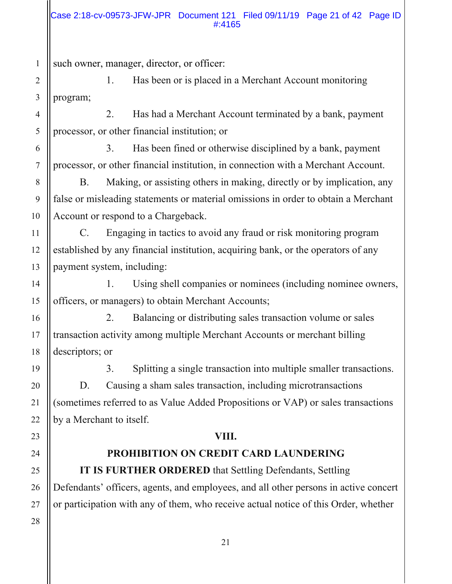### Case 2:18-cv-09573-JFW-JPR Document 121 Filed 09/11/19 Page 21 of 42 Page ID #:4165

such owner, manager, director, or officer:

 1. Has been or is placed in a Merchant Account monitoring program;

 2. Has had a Merchant Account terminated by a bank, payment processor, or other financial institution; or

 3. Has been fined or otherwise disciplined by a bank, payment processor, or other financial institution, in connection with a Merchant Account.

B. Making, or assisting others in making, directly or by implication, any false or misleading statements or material omissions in order to obtain a Merchant Account or respond to a Chargeback.

C. Engaging in tactics to avoid any fraud or risk monitoring program established by any financial institution, acquiring bank, or the operators of any payment system, including:

1. Using shell companies or nominees (including nominee owners, officers, or managers) to obtain Merchant Accounts;

2. Balancing or distributing sales transaction volume or sales transaction activity among multiple Merchant Accounts or merchant billing descriptors; or

3. Splitting a single transaction into multiple smaller transactions. D. Causing a sham sales transaction, including microtransactions (sometimes referred to as Value Added Propositions or VAP) or sales transactions by a Merchant to itself.

## **VIII.**

# **PROHIBITION ON CREDIT CARD LAUNDERING**

**IT IS FURTHER ORDERED** that Settling Defendants, Settling Defendants' officers, agents, and employees, and all other persons in active concert or participation with any of them, who receive actual notice of this Order, whether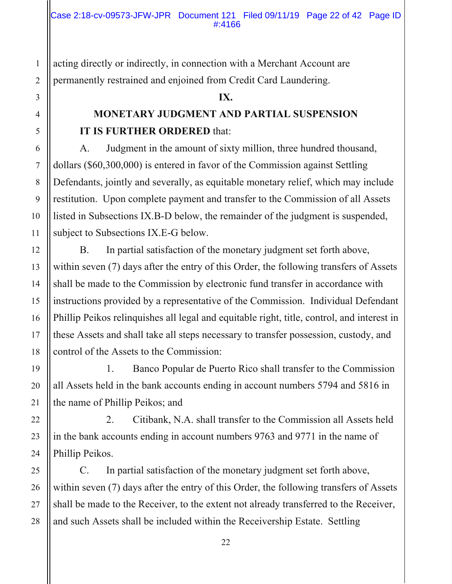acting directly or indirectly, in connection with a Merchant Account are permanently restrained and enjoined from Credit Card Laundering.

## **IX.**

# **MONETARY JUDGMENT AND PARTIAL SUSPENSION IT IS FURTHER ORDERED** that:

 A. Judgment in the amount of sixty million, three hundred thousand, dollars (\$60,300,000) is entered in favor of the Commission against Settling Defendants, jointly and severally, as equitable monetary relief, which may include restitution. Upon complete payment and transfer to the Commission of all Assets listed in Subsections IX.B-D below, the remainder of the judgment is suspended, subject to Subsections IX.E-G below.

 B. In partial satisfaction of the monetary judgment set forth above, within seven (7) days after the entry of this Order, the following transfers of Assets shall be made to the Commission by electronic fund transfer in accordance with instructions provided by a representative of the Commission. Individual Defendant Phillip Peikos relinquishes all legal and equitable right, title, control, and interest in these Assets and shall take all steps necessary to transfer possession, custody, and control of the Assets to the Commission:

 1. Banco Popular de Puerto Rico shall transfer to the Commission all Assets held in the bank accounts ending in account numbers 5794 and 5816 in the name of Phillip Peikos; and

 2. Citibank, N.A. shall transfer to the Commission all Assets held in the bank accounts ending in account numbers 9763 and 9771 in the name of Phillip Peikos.

 C. In partial satisfaction of the monetary judgment set forth above, within seven (7) days after the entry of this Order, the following transfers of Assets shall be made to the Receiver, to the extent not already transferred to the Receiver, and such Assets shall be included within the Receivership Estate. Settling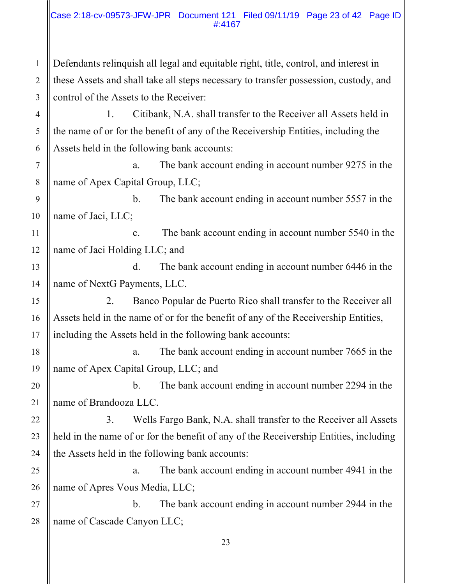### Case 2:18-cv-09573-JFW-JPR Document 121 Filed 09/11/19 Page 23 of 42 Page ID #:4167

Defendants relinquish all legal and equitable right, title, control, and interest in these Assets and shall take all steps necessary to transfer possession, custody, and control of the Assets to the Receiver:

1

2

3

4

5

6

7

8

9

10

11

15

16

17

18

19

20

21

22

23

24

25

26

 1. Citibank, N.A. shall transfer to the Receiver all Assets held in the name of or for the benefit of any of the Receivership Entities, including the Assets held in the following bank accounts:

a. The bank account ending in account number 9275 in the name of Apex Capital Group, LLC;

b. The bank account ending in account number 5557 in the name of Jaci, LLC;

12 c. The bank account ending in account number 5540 in the name of Jaci Holding LLC; and

13 14 d. The bank account ending in account number 6446 in the name of NextG Payments, LLC.

 2. Banco Popular de Puerto Rico shall transfer to the Receiver all Assets held in the name of or for the benefit of any of the Receivership Entities, including the Assets held in the following bank accounts:

a. The bank account ending in account number 7665 in the name of Apex Capital Group, LLC; and

b. The bank account ending in account number 2294 in the name of Brandooza LLC.

 3. Wells Fargo Bank, N.A. shall transfer to the Receiver all Assets held in the name of or for the benefit of any of the Receivership Entities, including the Assets held in the following bank accounts:

a. The bank account ending in account number 4941 in the name of Apres Vous Media, LLC;

27 28 b. The bank account ending in account number 2944 in the name of Cascade Canyon LLC;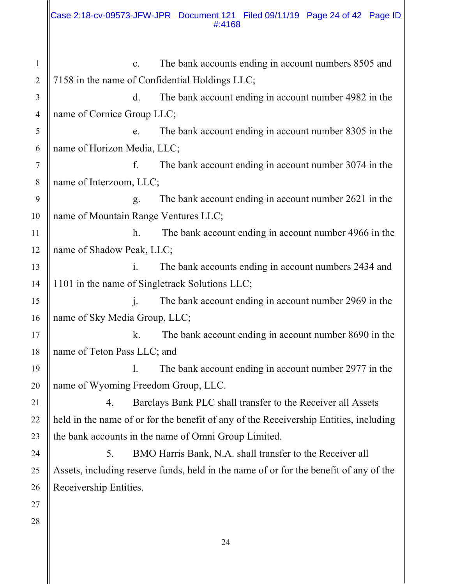1

3

11

2 4 5 6 7 8 9 10 12 13 14 15 16 17 18 19 20 21 22 23 24 25 26 27 28 c. The bank accounts ending in account numbers 8505 and 7158 in the name of Confidential Holdings LLC; d. The bank account ending in account number 4982 in the name of Cornice Group LLC; e. The bank account ending in account number 8305 in the name of Horizon Media, LLC; f. The bank account ending in account number 3074 in the name of Interzoom, LLC; g. The bank account ending in account number 2621 in the name of Mountain Range Ventures LLC; h. The bank account ending in account number 4966 in the name of Shadow Peak, LLC; i. The bank accounts ending in account numbers 2434 and 1101 in the name of Singletrack Solutions LLC; j. The bank account ending in account number 2969 in the name of Sky Media Group, LLC; k. The bank account ending in account number 8690 in the name of Teton Pass LLC; and l. The bank account ending in account number 2977 in the name of Wyoming Freedom Group, LLC. 4. Barclays Bank PLC shall transfer to the Receiver all Assets held in the name of or for the benefit of any of the Receivership Entities, including the bank accounts in the name of Omni Group Limited. 5. BMO Harris Bank, N.A. shall transfer to the Receiver all Assets, including reserve funds, held in the name of or for the benefit of any of the Receivership Entities.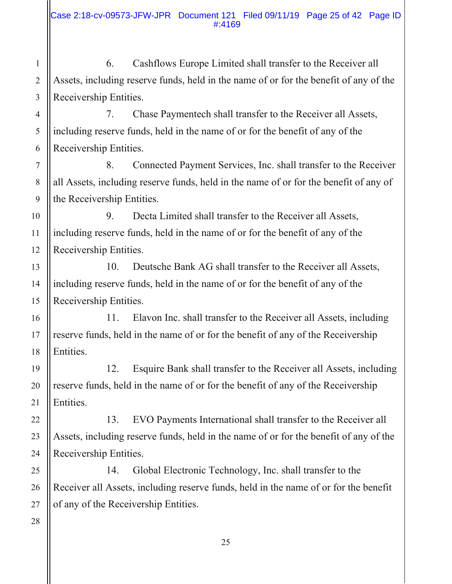6. Cashflows Europe Limited shall transfer to the Receiver all Assets, including reserve funds, held in the name of or for the benefit of any of the Receivership Entities.

7. Chase Paymentech shall transfer to the Receiver all Assets, including reserve funds, held in the name of or for the benefit of any of the Receivership Entities.

8. Connected Payment Services, Inc. shall transfer to the Receiver all Assets, including reserve funds, held in the name of or for the benefit of any of the Receivership Entities.

9. Decta Limited shall transfer to the Receiver all Assets, including reserve funds, held in the name of or for the benefit of any of the Receivership Entities.

10. Deutsche Bank AG shall transfer to the Receiver all Assets, including reserve funds, held in the name of or for the benefit of any of the Receivership Entities.

11. Elavon Inc. shall transfer to the Receiver all Assets, including reserve funds, held in the name of or for the benefit of any of the Receivership Entities.

12. Esquire Bank shall transfer to the Receiver all Assets, including reserve funds, held in the name of or for the benefit of any of the Receivership Entities.

 13. EVO Payments International shall transfer to the Receiver all Assets, including reserve funds, held in the name of or for the benefit of any of the Receivership Entities.

 14. Global Electronic Technology, Inc. shall transfer to the Receiver all Assets, including reserve funds, held in the name of or for the benefit of any of the Receivership Entities.

1

2

3

4

5

6

7

8

9

10

11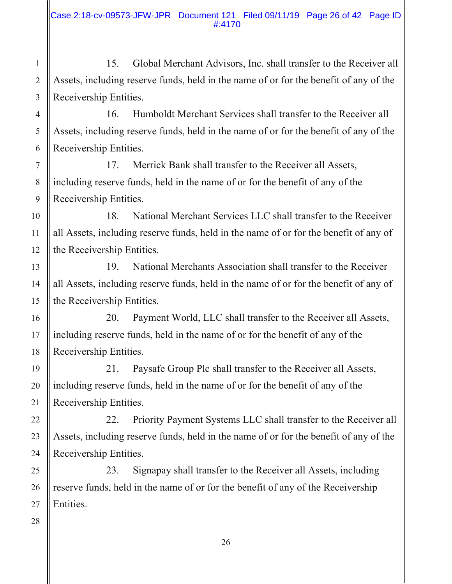15. Global Merchant Advisors, Inc. shall transfer to the Receiver all Assets, including reserve funds, held in the name of or for the benefit of any of the Receivership Entities.

 16. Humboldt Merchant Services shall transfer to the Receiver all Assets, including reserve funds, held in the name of or for the benefit of any of the Receivership Entities.

 17. Merrick Bank shall transfer to the Receiver all Assets, including reserve funds, held in the name of or for the benefit of any of the Receivership Entities.

 18. National Merchant Services LLC shall transfer to the Receiver all Assets, including reserve funds, held in the name of or for the benefit of any of the Receivership Entities.

 19. National Merchants Association shall transfer to the Receiver all Assets, including reserve funds, held in the name of or for the benefit of any of the Receivership Entities.

 20. Payment World, LLC shall transfer to the Receiver all Assets, including reserve funds, held in the name of or for the benefit of any of the Receivership Entities.

 21. Paysafe Group Plc shall transfer to the Receiver all Assets, including reserve funds, held in the name of or for the benefit of any of the Receivership Entities.

 22. Priority Payment Systems LLC shall transfer to the Receiver all Assets, including reserve funds, held in the name of or for the benefit of any of the Receivership Entities.

 23. Signapay shall transfer to the Receiver all Assets, including reserve funds, held in the name of or for the benefit of any of the Receivership Entities.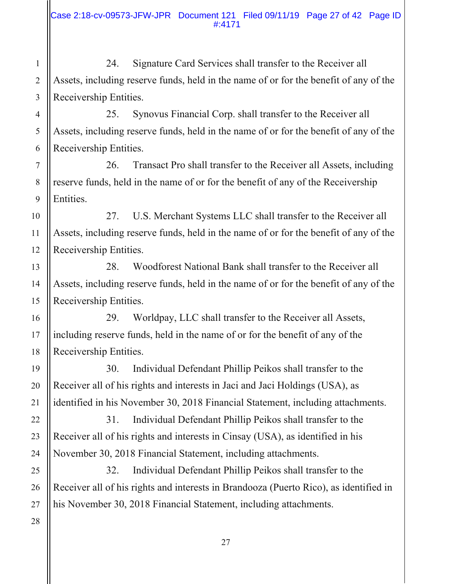24. Signature Card Services shall transfer to the Receiver all Assets, including reserve funds, held in the name of or for the benefit of any of the Receivership Entities.

 25. Synovus Financial Corp. shall transfer to the Receiver all Assets, including reserve funds, held in the name of or for the benefit of any of the Receivership Entities.

26. Transact Pro shall transfer to the Receiver all Assets, including reserve funds, held in the name of or for the benefit of any of the Receivership Entities.

27. U.S. Merchant Systems LLC shall transfer to the Receiver all Assets, including reserve funds, held in the name of or for the benefit of any of the Receivership Entities.

28. Woodforest National Bank shall transfer to the Receiver all Assets, including reserve funds, held in the name of or for the benefit of any of the Receivership Entities.

29. Worldpay, LLC shall transfer to the Receiver all Assets, including reserve funds, held in the name of or for the benefit of any of the Receivership Entities.

30. Individual Defendant Phillip Peikos shall transfer to the Receiver all of his rights and interests in Jaci and Jaci Holdings (USA), as identified in his November 30, 2018 Financial Statement, including attachments.

 31. Individual Defendant Phillip Peikos shall transfer to the Receiver all of his rights and interests in Cinsay (USA), as identified in his November 30, 2018 Financial Statement, including attachments.

 32. Individual Defendant Phillip Peikos shall transfer to the Receiver all of his rights and interests in Brandooza (Puerto Rico), as identified in his November 30, 2018 Financial Statement, including attachments.

1

2

3

4

5

6

7

8

9

10

11

12

13

14

15

16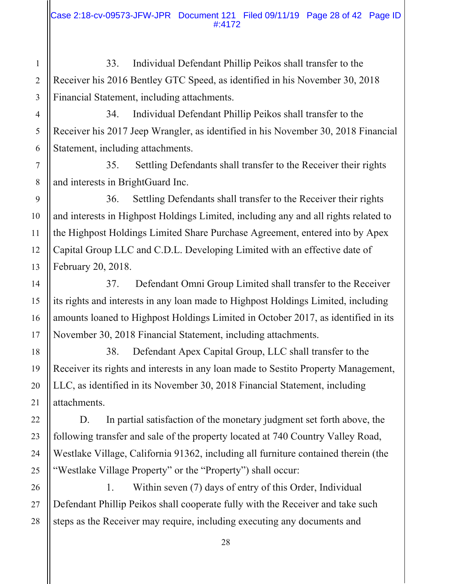33. Individual Defendant Phillip Peikos shall transfer to the Receiver his 2016 Bentley GTC Speed, as identified in his November 30, 2018 Financial Statement, including attachments.

 34. Individual Defendant Phillip Peikos shall transfer to the Receiver his 2017 Jeep Wrangler, as identified in his November 30, 2018 Financial Statement, including attachments.

 35. Settling Defendants shall transfer to the Receiver their rights and interests in BrightGuard Inc.

36. Settling Defendants shall transfer to the Receiver their rights and interests in Highpost Holdings Limited, including any and all rights related to the Highpost Holdings Limited Share Purchase Agreement, entered into by Apex Capital Group LLC and C.D.L. Developing Limited with an effective date of February 20, 2018.

 37. Defendant Omni Group Limited shall transfer to the Receiver its rights and interests in any loan made to Highpost Holdings Limited, including amounts loaned to Highpost Holdings Limited in October 2017, as identified in its November 30, 2018 Financial Statement, including attachments.

 38. Defendant Apex Capital Group, LLC shall transfer to the Receiver its rights and interests in any loan made to Sestito Property Management, LLC, as identified in its November 30, 2018 Financial Statement, including attachments.

 D. In partial satisfaction of the monetary judgment set forth above, the following transfer and sale of the property located at 740 Country Valley Road, Westlake Village, California 91362, including all furniture contained therein (the "Westlake Village Property" or the "Property") shall occur:

 1. Within seven (7) days of entry of this Order, Individual Defendant Phillip Peikos shall cooperate fully with the Receiver and take such steps as the Receiver may require, including executing any documents and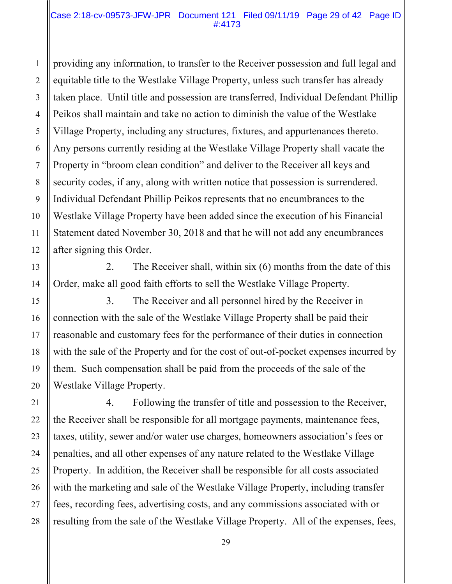providing any information, to transfer to the Receiver possession and full legal and equitable title to the Westlake Village Property, unless such transfer has already taken place. Until title and possession are transferred, Individual Defendant Phillip Peikos shall maintain and take no action to diminish the value of the Westlake Village Property, including any structures, fixtures, and appurtenances thereto. Any persons currently residing at the Westlake Village Property shall vacate the Property in "broom clean condition" and deliver to the Receiver all keys and security codes, if any, along with written notice that possession is surrendered. Individual Defendant Phillip Peikos represents that no encumbrances to the Westlake Village Property have been added since the execution of his Financial Statement dated November 30, 2018 and that he will not add any encumbrances after signing this Order.

 2. The Receiver shall, within six (6) months from the date of this Order, make all good faith efforts to sell the Westlake Village Property.

1

2

3

4

5

6

7

8

9

10

11

12

13

14

15

16

17

18

19

20

21

22

23

24

25

26

27

28

 3. The Receiver and all personnel hired by the Receiver in connection with the sale of the Westlake Village Property shall be paid their reasonable and customary fees for the performance of their duties in connection with the sale of the Property and for the cost of out-of-pocket expenses incurred by them. Such compensation shall be paid from the proceeds of the sale of the Westlake Village Property.

4. Following the transfer of title and possession to the Receiver, the Receiver shall be responsible for all mortgage payments, maintenance fees, taxes, utility, sewer and/or water use charges, homeowners association's fees or penalties, and all other expenses of any nature related to the Westlake Village Property. In addition, the Receiver shall be responsible for all costs associated with the marketing and sale of the Westlake Village Property, including transfer fees, recording fees, advertising costs, and any commissions associated with or resulting from the sale of the Westlake Village Property. All of the expenses, fees,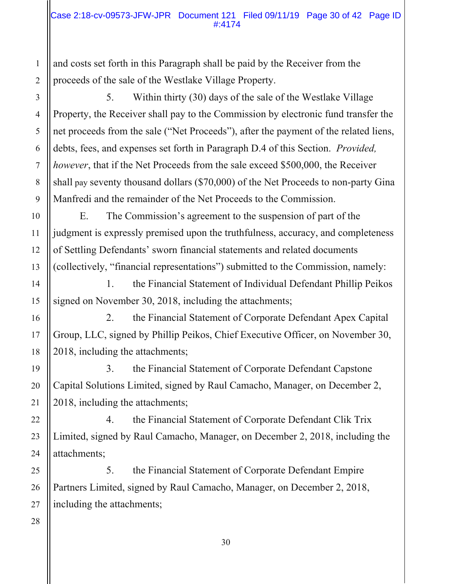and costs set forth in this Paragraph shall be paid by the Receiver from the proceeds of the sale of the Westlake Village Property.

5. Within thirty (30) days of the sale of the Westlake Village Property, the Receiver shall pay to the Commission by electronic fund transfer the net proceeds from the sale ("Net Proceeds"), after the payment of the related liens, debts, fees, and expenses set forth in Paragraph D.4 of this Section. *Provided, however*, that if the Net Proceeds from the sale exceed \$500,000, the Receiver shall pay seventy thousand dollars (\$70,000) of the Net Proceeds to non-party Gina Manfredi and the remainder of the Net Proceeds to the Commission.

 E. The Commission's agreement to the suspension of part of the judgment is expressly premised upon the truthfulness, accuracy, and completeness of Settling Defendants' sworn financial statements and related documents (collectively, "financial representations") submitted to the Commission, namely:

 1. the Financial Statement of Individual Defendant Phillip Peikos signed on November 30, 2018, including the attachments;

 2. the Financial Statement of Corporate Defendant Apex Capital Group, LLC, signed by Phillip Peikos, Chief Executive Officer, on November 30, 2018, including the attachments;

 3. the Financial Statement of Corporate Defendant Capstone Capital Solutions Limited, signed by Raul Camacho, Manager, on December 2, 2018, including the attachments;

 4. the Financial Statement of Corporate Defendant Clik Trix Limited, signed by Raul Camacho, Manager, on December 2, 2018, including the attachments;

 5. the Financial Statement of Corporate Defendant Empire Partners Limited, signed by Raul Camacho, Manager, on December 2, 2018, including the attachments;

1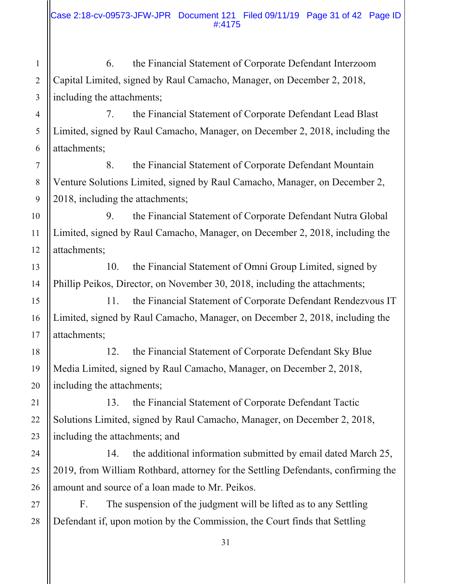6. the Financial Statement of Corporate Defendant Interzoom Capital Limited, signed by Raul Camacho, Manager, on December 2, 2018, including the attachments;

1

2

3

4

5

6

7

8

9

10

11

12

13

14

15

16

17

18

19

20

21

22

23

24

25

26

27

28

 7. the Financial Statement of Corporate Defendant Lead Blast Limited, signed by Raul Camacho, Manager, on December 2, 2018, including the attachments;

 8. the Financial Statement of Corporate Defendant Mountain Venture Solutions Limited, signed by Raul Camacho, Manager, on December 2, 2018, including the attachments;

 9. the Financial Statement of Corporate Defendant Nutra Global Limited, signed by Raul Camacho, Manager, on December 2, 2018, including the attachments;

 10. the Financial Statement of Omni Group Limited, signed by Phillip Peikos, Director, on November 30, 2018, including the attachments;

 11. the Financial Statement of Corporate Defendant Rendezvous IT Limited, signed by Raul Camacho, Manager, on December 2, 2018, including the attachments;

 12. the Financial Statement of Corporate Defendant Sky Blue Media Limited, signed by Raul Camacho, Manager, on December 2, 2018, including the attachments;

 13. the Financial Statement of Corporate Defendant Tactic Solutions Limited, signed by Raul Camacho, Manager, on December 2, 2018, including the attachments; and

 14. the additional information submitted by email dated March 25, 2019, from William Rothbard, attorney for the Settling Defendants, confirming the amount and source of a loan made to Mr. Peikos.

 F. The suspension of the judgment will be lifted as to any Settling Defendant if, upon motion by the Commission, the Court finds that Settling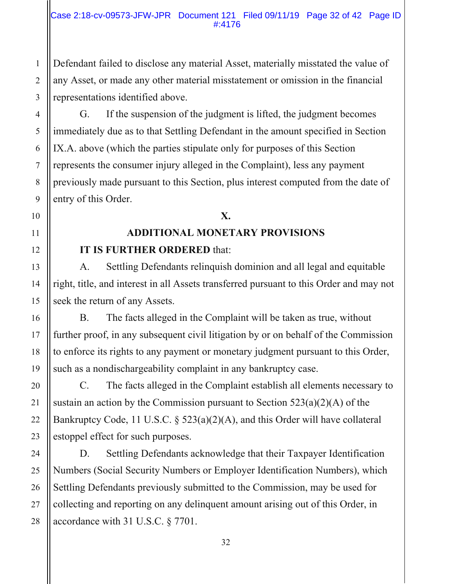Defendant failed to disclose any material Asset, materially misstated the value of any Asset, or made any other material misstatement or omission in the financial representations identified above.

 G. If the suspension of the judgment is lifted, the judgment becomes immediately due as to that Settling Defendant in the amount specified in Section IX.A. above (which the parties stipulate only for purposes of this Section represents the consumer injury alleged in the Complaint), less any payment previously made pursuant to this Section, plus interest computed from the date of entry of this Order.

# **X.**

# **ADDITIONAL MONETARY PROVISIONS IT IS FURTHER ORDERED** that:

A. Settling Defendants relinquish dominion and all legal and equitable right, title, and interest in all Assets transferred pursuant to this Order and may not seek the return of any Assets.

 B. The facts alleged in the Complaint will be taken as true, without further proof, in any subsequent civil litigation by or on behalf of the Commission to enforce its rights to any payment or monetary judgment pursuant to this Order, such as a nondischargeability complaint in any bankruptcy case.

 C. The facts alleged in the Complaint establish all elements necessary to sustain an action by the Commission pursuant to Section  $523(a)(2)(A)$  of the Bankruptcy Code, 11 U.S.C. § 523(a)(2)(A), and this Order will have collateral estoppel effect for such purposes.

 D. Settling Defendants acknowledge that their Taxpayer Identification Numbers (Social Security Numbers or Employer Identification Numbers), which Settling Defendants previously submitted to the Commission, may be used for collecting and reporting on any delinquent amount arising out of this Order, in accordance with 31 U.S.C. § 7701.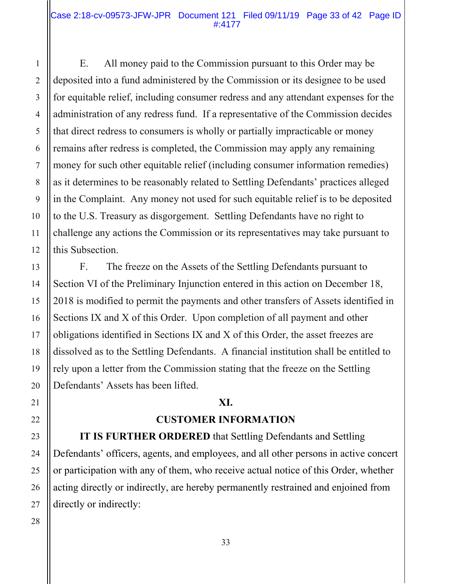#### Case 2:18-cv-09573-JFW-JPR Document 121 Filed 09/11/19 Page 33 of 42 Page ID #:4177

 E. All money paid to the Commission pursuant to this Order may be deposited into a fund administered by the Commission or its designee to be used for equitable relief, including consumer redress and any attendant expenses for the administration of any redress fund. If a representative of the Commission decides that direct redress to consumers is wholly or partially impracticable or money remains after redress is completed, the Commission may apply any remaining money for such other equitable relief (including consumer information remedies) as it determines to be reasonably related to Settling Defendants' practices alleged in the Complaint. Any money not used for such equitable relief is to be deposited to the U.S. Treasury as disgorgement. Settling Defendants have no right to challenge any actions the Commission or its representatives may take pursuant to this Subsection.

 F. The freeze on the Assets of the Settling Defendants pursuant to Section VI of the Preliminary Injunction entered in this action on December 18, 2018 is modified to permit the payments and other transfers of Assets identified in Sections IX and X of this Order. Upon completion of all payment and other obligations identified in Sections IX and X of this Order, the asset freezes are dissolved as to the Settling Defendants. A financial institution shall be entitled to rely upon a letter from the Commission stating that the freeze on the Settling Defendants' Assets has been lifted.

## **XI.**

## **CUSTOMER INFORMATION**

**IT IS FURTHER ORDERED** that Settling Defendants and Settling Defendants' officers, agents, and employees, and all other persons in active concert or participation with any of them, who receive actual notice of this Order, whether acting directly or indirectly, are hereby permanently restrained and enjoined from directly or indirectly: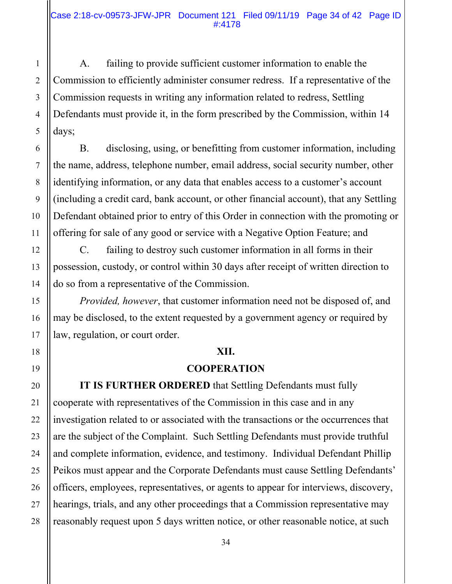A. failing to provide sufficient customer information to enable the Commission to efficiently administer consumer redress. If a representative of the Commission requests in writing any information related to redress, Settling Defendants must provide it, in the form prescribed by the Commission, within 14 days;

 B. disclosing, using, or benefitting from customer information, including the name, address, telephone number, email address, social security number, other identifying information, or any data that enables access to a customer's account (including a credit card, bank account, or other financial account), that any Settling Defendant obtained prior to entry of this Order in connection with the promoting or offering for sale of any good or service with a Negative Option Feature; and

 C. failing to destroy such customer information in all forms in their possession, custody, or control within 30 days after receipt of written direction to do so from a representative of the Commission.

*Provided, however*, that customer information need not be disposed of, and may be disclosed, to the extent requested by a government agency or required by law, regulation, or court order.

## **XII.**

## **COOPERATION**

**IT IS FURTHER ORDERED** that Settling Defendants must fully cooperate with representatives of the Commission in this case and in any investigation related to or associated with the transactions or the occurrences that are the subject of the Complaint. Such Settling Defendants must provide truthful and complete information, evidence, and testimony. Individual Defendant Phillip Peikos must appear and the Corporate Defendants must cause Settling Defendants' officers, employees, representatives, or agents to appear for interviews, discovery, hearings, trials, and any other proceedings that a Commission representative may reasonably request upon 5 days written notice, or other reasonable notice, at such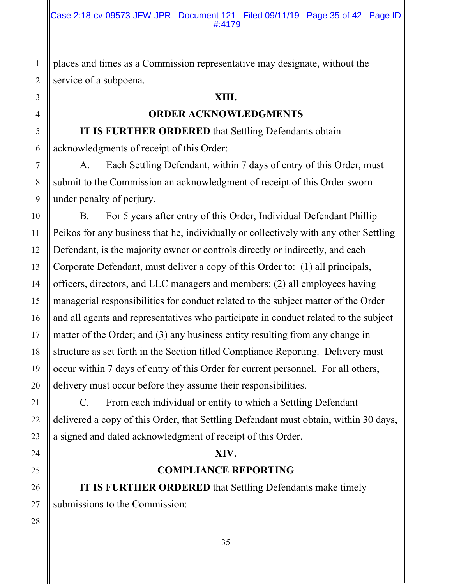places and times as a Commission representative may designate, without the service of a subpoena.

## **XIII.**

## **ORDER ACKNOWLEDGMENTS**

**IT IS FURTHER ORDERED** that Settling Defendants obtain acknowledgments of receipt of this Order:

 A. Each Settling Defendant, within 7 days of entry of this Order, must submit to the Commission an acknowledgment of receipt of this Order sworn under penalty of perjury.

 B. For 5 years after entry of this Order, Individual Defendant Phillip Peikos for any business that he, individually or collectively with any other Settling Defendant, is the majority owner or controls directly or indirectly, and each Corporate Defendant, must deliver a copy of this Order to: (1) all principals, officers, directors, and LLC managers and members; (2) all employees having managerial responsibilities for conduct related to the subject matter of the Order and all agents and representatives who participate in conduct related to the subject matter of the Order; and (3) any business entity resulting from any change in structure as set forth in the Section titled Compliance Reporting. Delivery must occur within 7 days of entry of this Order for current personnel. For all others, delivery must occur before they assume their responsibilities.

 C. From each individual or entity to which a Settling Defendant delivered a copy of this Order, that Settling Defendant must obtain, within 30 days, a signed and dated acknowledgment of receipt of this Order.

## **XIV.**

## **COMPLIANCE REPORTING**

**IT IS FURTHER ORDERED** that Settling Defendants make timely submissions to the Commission: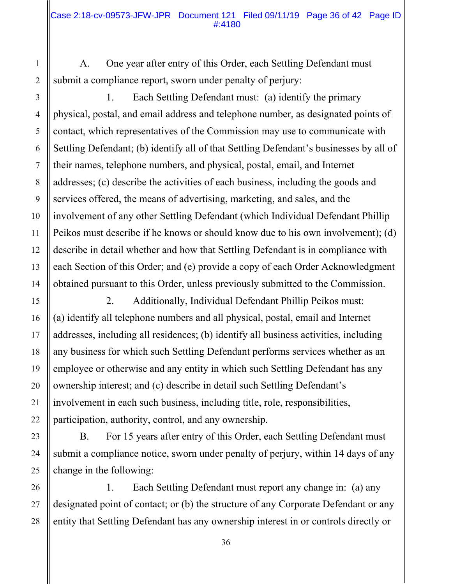A. One year after entry of this Order, each Settling Defendant must submit a compliance report, sworn under penalty of perjury:

 1. Each Settling Defendant must: (a) identify the primary physical, postal, and email address and telephone number, as designated points of contact, which representatives of the Commission may use to communicate with Settling Defendant; (b) identify all of that Settling Defendant's businesses by all of their names, telephone numbers, and physical, postal, email, and Internet addresses; (c) describe the activities of each business, including the goods and services offered, the means of advertising, marketing, and sales, and the involvement of any other Settling Defendant (which Individual Defendant Phillip Peikos must describe if he knows or should know due to his own involvement); (d) describe in detail whether and how that Settling Defendant is in compliance with each Section of this Order; and (e) provide a copy of each Order Acknowledgment obtained pursuant to this Order, unless previously submitted to the Commission.

 2. Additionally, Individual Defendant Phillip Peikos must: (a) identify all telephone numbers and all physical, postal, email and Internet addresses, including all residences; (b) identify all business activities, including any business for which such Settling Defendant performs services whether as an employee or otherwise and any entity in which such Settling Defendant has any ownership interest; and (c) describe in detail such Settling Defendant's involvement in each such business, including title, role, responsibilities, participation, authority, control, and any ownership.

 B. For 15 years after entry of this Order, each Settling Defendant must submit a compliance notice, sworn under penalty of perjury, within 14 days of any change in the following:

 1. Each Settling Defendant must report any change in: (a) any designated point of contact; or (b) the structure of any Corporate Defendant or any entity that Settling Defendant has any ownership interest in or controls directly or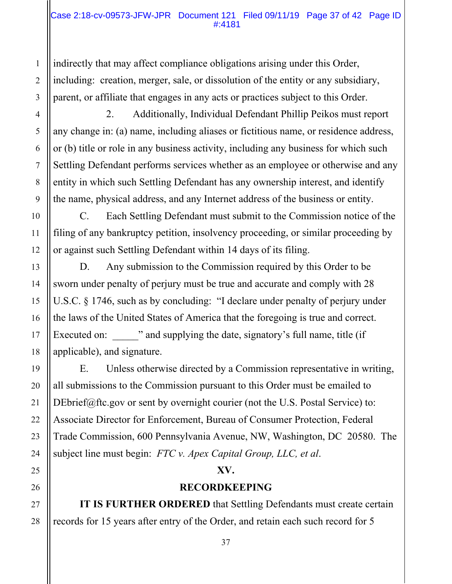#### Case 2:18-cv-09573-JFW-JPR Document 121 Filed 09/11/19 Page 37 of 42 Page ID #:4181

indirectly that may affect compliance obligations arising under this Order, including: creation, merger, sale, or dissolution of the entity or any subsidiary, parent, or affiliate that engages in any acts or practices subject to this Order.

 2. Additionally, Individual Defendant Phillip Peikos must report any change in: (a) name, including aliases or fictitious name, or residence address, or (b) title or role in any business activity, including any business for which such Settling Defendant performs services whether as an employee or otherwise and any entity in which such Settling Defendant has any ownership interest, and identify the name, physical address, and any Internet address of the business or entity.

 C. Each Settling Defendant must submit to the Commission notice of the filing of any bankruptcy petition, insolvency proceeding, or similar proceeding by or against such Settling Defendant within 14 days of its filing.

 D. Any submission to the Commission required by this Order to be sworn under penalty of perjury must be true and accurate and comply with 28 U.S.C. § 1746, such as by concluding: "I declare under penalty of perjury under the laws of the United States of America that the foregoing is true and correct. Executed on:  $\cdots$  and supplying the date, signatory's full name, title (if applicable), and signature.

 E. Unless otherwise directed by a Commission representative in writing, all submissions to the Commission pursuant to this Order must be emailed to DEbrief@ftc.gov or sent by overnight courier (not the U.S. Postal Service) to: Associate Director for Enforcement, Bureau of Consumer Protection, Federal Trade Commission, 600 Pennsylvania Avenue, NW, Washington, DC 20580. The subject line must begin: *FTC v. Apex Capital Group, LLC, et al*.

## **XV.**

## **RECORDKEEPING**

**IT IS FURTHER ORDERED** that Settling Defendants must create certain records for 15 years after entry of the Order, and retain each such record for 5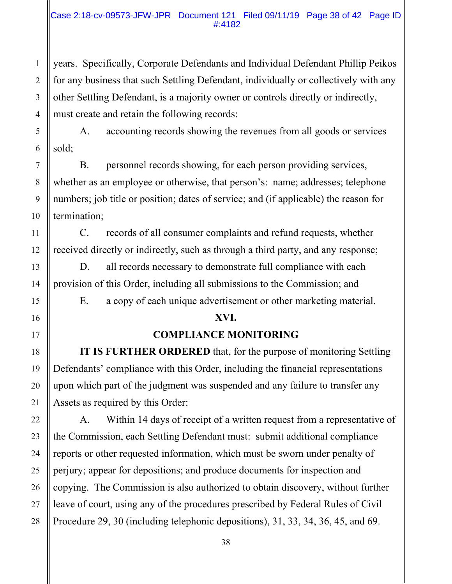### Case 2:18-cv-09573-JFW-JPR Document 121 Filed 09/11/19 Page 38 of 42 Page ID #:4182

years. Specifically, Corporate Defendants and Individual Defendant Phillip Peikos for any business that such Settling Defendant, individually or collectively with any other Settling Defendant, is a majority owner or controls directly or indirectly, must create and retain the following records:

 A. accounting records showing the revenues from all goods or services sold;

 B. personnel records showing, for each person providing services, whether as an employee or otherwise, that person's: name; addresses; telephone numbers; job title or position; dates of service; and (if applicable) the reason for termination;

 C. records of all consumer complaints and refund requests, whether received directly or indirectly, such as through a third party, and any response;

 D. all records necessary to demonstrate full compliance with each provision of this Order, including all submissions to the Commission; and

E. a copy of each unique advertisement or other marketing material.

## **XVI.**

## **COMPLIANCE MONITORING**

**IT IS FURTHER ORDERED** that, for the purpose of monitoring Settling Defendants' compliance with this Order, including the financial representations upon which part of the judgment was suspended and any failure to transfer any Assets as required by this Order:

 A. Within 14 days of receipt of a written request from a representative of the Commission, each Settling Defendant must: submit additional compliance reports or other requested information, which must be sworn under penalty of perjury; appear for depositions; and produce documents for inspection and copying. The Commission is also authorized to obtain discovery, without further leave of court, using any of the procedures prescribed by Federal Rules of Civil Procedure 29, 30 (including telephonic depositions), 31, 33, 34, 36, 45, and 69.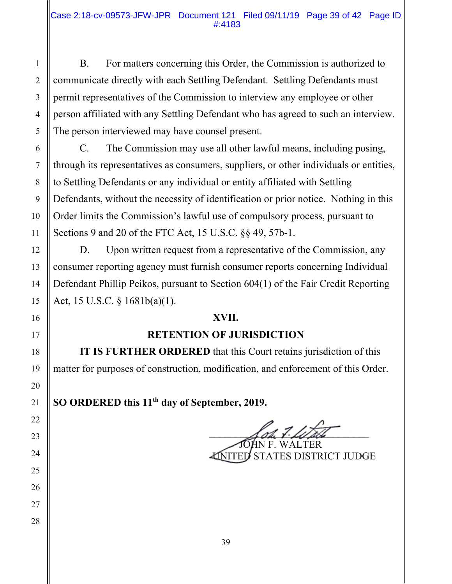B. For matters concerning this Order, the Commission is authorized to communicate directly with each Settling Defendant. Settling Defendants must permit representatives of the Commission to interview any employee or other person affiliated with any Settling Defendant who has agreed to such an interview. The person interviewed may have counsel present.

 C. The Commission may use all other lawful means, including posing, through its representatives as consumers, suppliers, or other individuals or entities, to Settling Defendants or any individual or entity affiliated with Settling Defendants, without the necessity of identification or prior notice. Nothing in this Order limits the Commission's lawful use of compulsory process, pursuant to Sections 9 and 20 of the FTC Act, 15 U.S.C. §§ 49, 57b-1.

D. Upon written request from a representative of the Commission, any consumer reporting agency must furnish consumer reports concerning Individual Defendant Phillip Peikos, pursuant to Section 604(1) of the Fair Credit Reporting Act, 15 U.S.C. § 1681b(a)(1).

## **XVII.**

## **RETENTION OF JURISDICTION**

**IT IS FURTHER ORDERED** that this Court retains jurisdiction of this matter for purposes of construction, modification, and enforcement of this Order.

**SO ORDERED this 11th day of September, 2019.** 

 $\bigwedge$ oh 7. Letale JOHN F. WALTER UNITED STATES DISTRICT JUDGE

1 2 3 4 5 6 7 8 9 10 11 12 13 14 15 16 17 18 19 20 21 22 23 24 25 26 27 28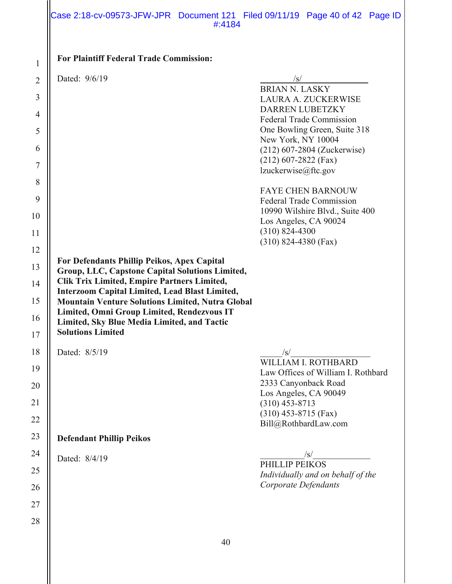#### Case 2:18-cv-09573-JFW-JPR Document 121 Filed 09/11/19 Page 40 of 42 Page ID #:4184

| <b>For Plaintiff Federal Trade Commission:</b> |            |
|------------------------------------------------|------------|
| Dated: 9/6/19                                  |            |
|                                                | BRIAN N. I |
|                                                | LAURA A.   |
|                                                | DARREN L   |
|                                                |            |

BRIAN N. LASKY LAURA A. ZUCKERWISE DARREN LUBETZKY Federal Trade Commission One Bowling Green, Suite 318 New York, NY 10004 (212) 607-2804 (Zuckerwise) (212) 607-2822 (Fax) lzuckerwise@ftc.gov

FAYE CHEN BARNOUW Federal Trade Commission 10990 Wilshire Blvd., Suite 400 Los Angeles, CA 90024 (310) 824-4300 (310) 824-4380 (Fax)

*Corporate Defendants* 

#### **For Defendants Phillip Peikos, Apex Capital Group, LLC, Capstone Capital Solutions Limited,**

- **Clik Trix Limited, Empire Partners Limited,**
- **Interzoom Capital Limited, Lead Blast Limited,**
- **Mountain Venture Solutions Limited, Nutra Global**
- **Limited, Omni Group Limited, Rendezvous IT Limited, Sky Blue Media Limited, and Tactic**
- **Solutions Limited**

Dated:  $8/5/19$  /s/ WILLIAM I. ROTHBARD Law Offices of William I. Rothbard 2333 Canyonback Road Los Angeles, CA 90049 (310) 453-8713 (310) 453-8715 (Fax) Bill@RothbardLaw.com **Defendant Phillip Peikos** Dated:  $8/4/19$   $\frac{|s|}{\sqrt{2\pi} \sqrt{12.89}}$ PHILLIP PEIKOS *Individually and on behalf of the*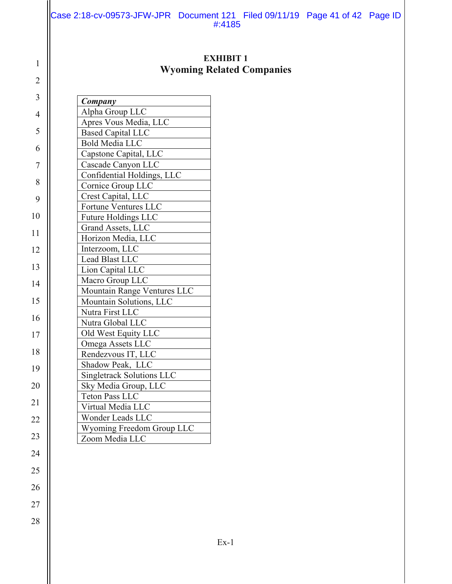Case 2:18-cv-09573-JFW-JPR Document 121 Filed 09/11/19 Page 41 of 42 Page ID #:4185

## **EXHIBIT 1 Wyoming Related Companies**

| Company                          |
|----------------------------------|
| Alpha Group LLC                  |
| Apres Vous Media, LLC            |
| <b>Based Capital LLC</b>         |
| <b>Bold Media LLC</b>            |
| Capstone Capital, LLC            |
| Cascade Canyon LLC               |
| Confidential Holdings, LLC       |
| Cornice Group LLC                |
| Crest Capital, LLC               |
| Fortune Ventures LLC             |
| <b>Future Holdings LLC</b>       |
| Grand Assets, LLC                |
| Horizon Media, LLC               |
| Interzoom, LLC                   |
| Lead Blast LLC                   |
| Lion Capital LLC                 |
| Macro Group LLC                  |
| Mountain Range Ventures LLC      |
| Mountain Solutions, LLC          |
| Nutra First LLC                  |
| Nutra Global LLC                 |
| Old West Equity LLC              |
| Omega Assets LLC                 |
| Rendezvous IT, LLC               |
| Shadow Peak, LLC                 |
| <b>Singletrack Solutions LLC</b> |
| Sky Media Group, LLC             |
| <b>Teton Pass LLC</b>            |
| Virtual Media LLC                |
| Wonder Leads LLC                 |
| Wyoming Freedom Group LLC        |
| Zoom Media LLC                   |